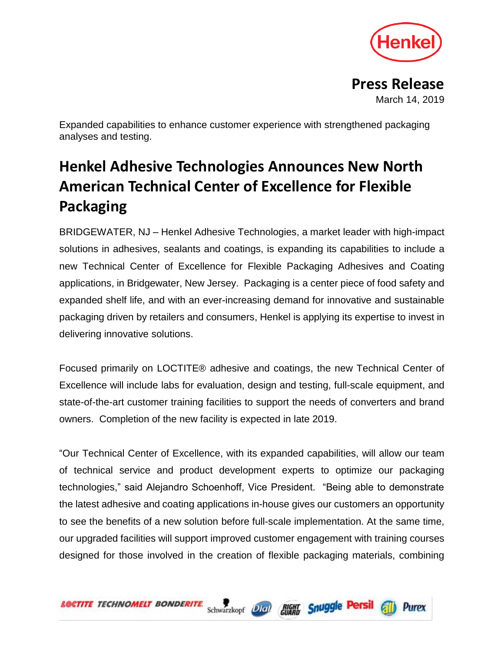

**Press Release** March 14, 2019

Expanded capabilities to enhance customer experience with strengthened packaging analyses and testing.

## **Henkel Adhesive Technologies Announces New North American Technical Center of Excellence for Flexible Packaging**

BRIDGEWATER, NJ – Henkel Adhesive Technologies, a market leader with high-impact solutions in adhesives, sealants and coatings, is expanding its capabilities to include a new Technical Center of Excellence for Flexible Packaging Adhesives and Coating applications, in Bridgewater, New Jersey. Packaging is a center piece of food safety and expanded shelf life, and with an ever-increasing demand for innovative and sustainable packaging driven by retailers and consumers, Henkel is applying its expertise to invest in delivering innovative solutions.

Focused primarily on LOCTITE® adhesive and coatings, the new Technical Center of Excellence will include labs for evaluation, design and testing, full-scale equipment, and state-of-the-art customer training facilities to support the needs of converters and brand owners. Completion of the new facility is expected in late 2019.

"Our Technical Center of Excellence, with its expanded capabilities, will allow our team of technical service and product development experts to optimize our packaging technologies," said Alejandro Schoenhoff, Vice President. "Being able to demonstrate the latest adhesive and coating applications in-house gives our customers an opportunity to see the benefits of a new solution before full-scale implementation. At the same time, our upgraded facilities will support improved customer engagement with training courses designed for those involved in the creation of flexible packaging materials, combining